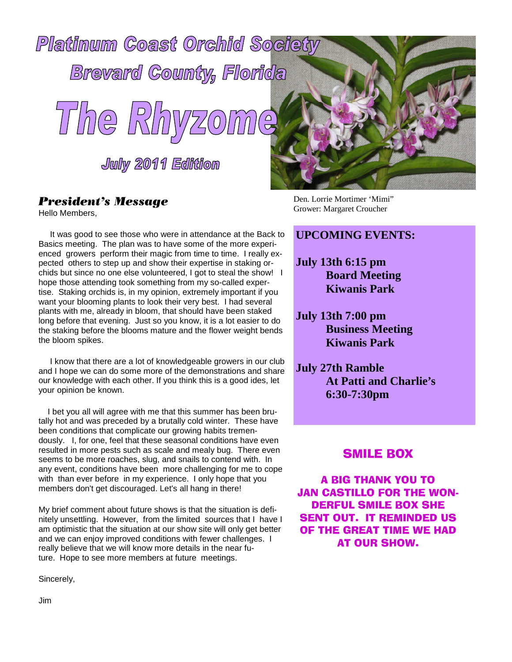

### President's Message

Hello Members,

It was good to see those who were in attendance at the Back to Basics meeting. The plan was to have some of the more experienced growers perform their magic from time to time. I really expected others to step up and show their expertise in staking orchids but since no one else volunteered, I got to steal the show! I hope those attending took something from my so-called expertise. Staking orchids is, in my opinion, extremely important if you want your blooming plants to look their very best. I had several plants with me, already in bloom, that should have been staked long before that evening. Just so you know, it is a lot easier to do the staking before the blooms mature and the flower weight bends the bloom spikes.

I know that there are a lot of knowledgeable growers in our club and I hope we can do some more of the demonstrations and share our knowledge with each other. If you think this is a good ides, let your opinion be known.

I bet you all will agree with me that this summer has been brutally hot and was preceded by a brutally cold winter. These have been conditions that complicate our growing habits tremendously. I, for one, feel that these seasonal conditions have even resulted in more pests such as scale and mealy bug. There even seems to be more roaches, slug, and snails to contend with. In any event, conditions have been more challenging for me to cope with than ever before in my experience. I only hope that you members don't get discouraged. Let's all hang in there!

My brief comment about future shows is that the situation is definitely unsettling. However, from the limited sources that I have I am optimistic that the situation at our show site will only get better and we can enjoy improved conditions with fewer challenges. I really believe that we will know more details in the near future. Hope to see more members at future meetings.

Sincerely,



Den. Lorrie Mortimer 'Mimi" Grower: Margaret Croucher

### **UPCOMING EVENTS:**

- **July 13th 6:15 pm Board Meeting Kiwanis Park**
- **July 13th 7:00 pm Business Meeting Kiwanis Park**
- **July 27th Ramble At Patti and Charlie's 6:30-7:30pm**

### SMILE BOX

A BIG THANK YOU TO JAN CASTILLO FOR THE WON-DERFUL SMILE BOX SHE SENT OUT. IT REMINDED US OF THE GREAT TIME WE HAD AT OUR SHOW.

Jim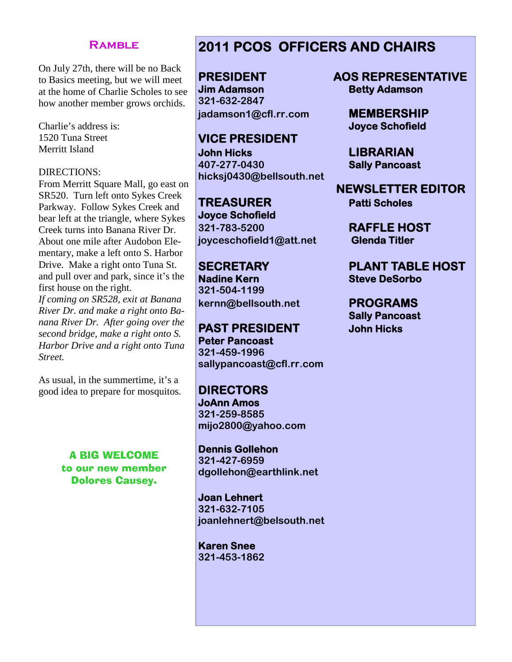### **Ramble**

On July 27th, there will be no Back to Basics meeting, but we will meet at the home of Charlie Scholes to see how another member grows orchids.

Charlie's address is: 1520 Tuna Street Merritt Island

### DIRECTIONS:

From Merritt Square Mall, go east on SR520. Turn left onto Sykes Creek Parkway. Follow Sykes Creek and bear left at the triangle, where Sykes Creek turns into Banana River Dr. About one mile after Audobon Elementary, make a left onto S. Harbor Drive. Make a right onto Tuna St. and pull over and park, since it's the first house on the right.

*If coming on SR528, exit at Banana River Dr. and make a right onto Banana River Dr. After going over the second bridge, make a right onto S. Harbor Drive and a right onto Tuna Street.*

As usual, in the summertime, it's a good idea to prepare for mosquitos.

> A BIG WELCOME to our new member Dolores Causey.

### **2011 PCOS OFFICERS AND CHAIRS**

**Jim Adamson Betty Adamson 321-632-2847 jadamson1@cfl.rr.com MEMBERSHIP**

**VICE PRESIDENT John Hicks LIBRARIAN 407-277-0430 Sally Pancoast hicksj0430@bellsouth.net**

**TREASURER Patti Scholes Joyce Schofield 321-783-5200 RAFFLE HOST joyceschofield1@att.net Glenda Titler**

**Nadine Kern Steve DeSorbo 321-504-1199 kernn@bellsouth.net PROGRAMS**

**PAST PRESIDENT John Hicks Peter Pancoast 321-459-1996 sallypancoast@cfl.rr.com**

**DIRECTORS JoAnn Amos 321-259-8585 mijo2800@yahoo.com**

**Dennis Gollehon 321-427-6959 dgollehon@earthlink.net**

**Joan Lehnert 321-632-7105 joanlehnert@belsouth.net**

**Karen Snee 321-453-1862**

**PRESIDENT AOS REPRESENTATIVE**

**Joyce Schofield**

**NEWSLETTER EDITOR**

**SECRETARY PLANT TABLE HOST**

**Sally Pancoast**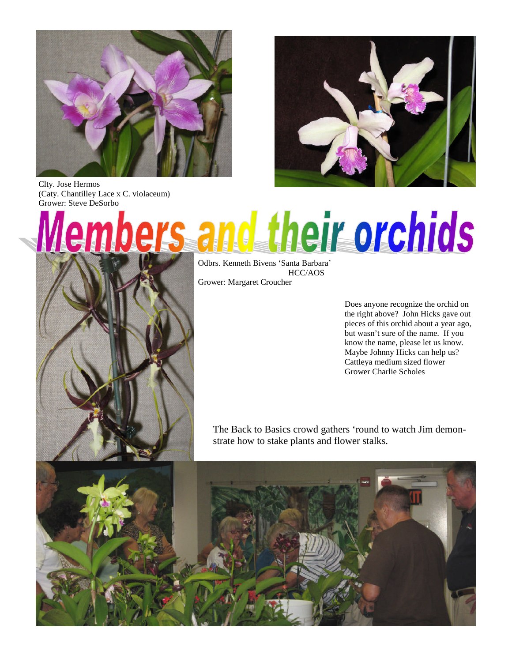

Clty. Jose Hermos (Caty. Chantilley Lace x C. violaceum) Grower: Steve DeSorbo



# heir orchids Wem

Odbrs. Kenneth Bivens 'Santa Barbara' HCC/AOS Grower: Margaret Croucher

> Does anyone recognize the orchid on the right above? John Hicks gave out pieces of this orchid about a year ago, but wasn't sure of the name. If you know the name, please let us know. Maybe Johnny Hicks can help us? Cattleya medium sized flower Grower Charlie Scholes

The Back to Basics crowd gathers 'round to watch Jim demonstrate how to stake plants and flower stalks.

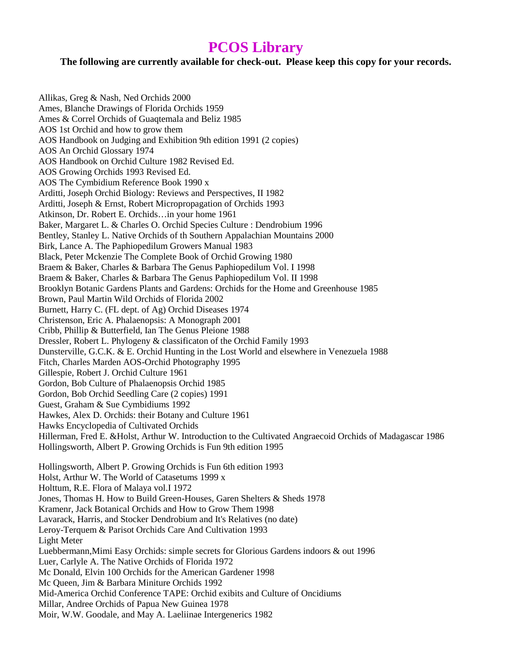## **PCOS Library**

### **The following are currently available for check-out. Please keep this copy for your records.**

Allikas, Greg & Nash, Ned Orchids 2000 Ames, Blanche Drawings of Florida Orchids 1959 Ames & Correl Orchids of Guaqtemala and Beliz 1985 AOS 1st Orchid and how to grow them AOS Handbook on Judging and Exhibition 9th edition 1991 (2 copies) AOS An Orchid Glossary 1974 AOS Handbook on Orchid Culture 1982 Revised Ed. AOS Growing Orchids 1993 Revised Ed. AOS The Cymbidium Reference Book 1990 x Arditti, Joseph Orchid Biology: Reviews and Perspectives, II 1982 Arditti, Joseph & Ernst, Robert Micropropagation of Orchids 1993 Atkinson, Dr. Robert E. Orchids…in your home 1961 Baker, Margaret L. & Charles O. Orchid Species Culture : Dendrobium 1996 Bentley, Stanley L. Native Orchids of th Southern Appalachian Mountains 2000 Birk, Lance A. The Paphiopedilum Growers Manual 1983 Black, Peter Mckenzie The Complete Book of Orchid Growing 1980 Braem & Baker, Charles & Barbara The Genus Paphiopedilum Vol. I 1998 Braem & Baker, Charles & Barbara The Genus Paphiopedilum Vol. II 1998 Brooklyn Botanic Gardens Plants and Gardens: Orchids for the Home and Greenhouse 1985 Brown, Paul Martin Wild Orchids of Florida 2002 Burnett, Harry C. (FL dept. of Ag) Orchid Diseases 1974 Christenson, Eric A. Phalaenopsis: A Monograph 2001 Cribb, Phillip & Butterfield, Ian The Genus Pleione 1988 Dressler, Robert L. Phylogeny & classificaton of the Orchid Family 1993 Dunsterville, G.C.K. & E. Orchid Hunting in the Lost World and elsewhere in Venezuela 1988 Fitch, Charles Marden AOS-Orchid Photography 1995 Gillespie, Robert J. Orchid Culture 1961 Gordon, Bob Culture of Phalaenopsis Orchid 1985 Gordon, Bob Orchid Seedling Care (2 copies) 1991 Guest, Graham & Sue Cymbidiums 1992 Hawkes, Alex D. Orchids: their Botany and Culture 1961 Hawks Encyclopedia of Cultivated Orchids Hillerman, Fred E. &Holst, Arthur W. Introduction to the Cultivated Angraecoid Orchids of Madagascar 1986 Hollingsworth, Albert P. Growing Orchids is Fun 9th edition 1995 Hollingsworth, Albert P. Growing Orchids is Fun 6th edition 1993 Holst, Arthur W. The World of Catasetums 1999 x Holttum, R.E. Flora of Malaya vol.I 1972 Jones, Thomas H. How to Build Green-Houses, Garen Shelters & Sheds 1978 Kramenr, Jack Botanical Orchids and How to Grow Them 1998 Lavarack, Harris, and Stocker Dendrobium and It's Relatives (no date) Leroy-Terquem & Parisot Orchids Care And Cultivation 1993 Light Meter Luebbermann,Mimi Easy Orchids: simple secrets for Glorious Gardens indoors & out 1996 Luer, Carlyle A. The Native Orchids of Florida 1972 Mc Donald, Elvin 100 Orchids for the American Gardener 1998 Mc Queen, Jim & Barbara Miniture Orchids 1992 Mid-America Orchid Conference TAPE: Orchid exibits and Culture of Oncidiums Millar, Andree Orchids of Papua New Guinea 1978 Moir, W.W. Goodale, and May A. Laeliinae Intergenerics 1982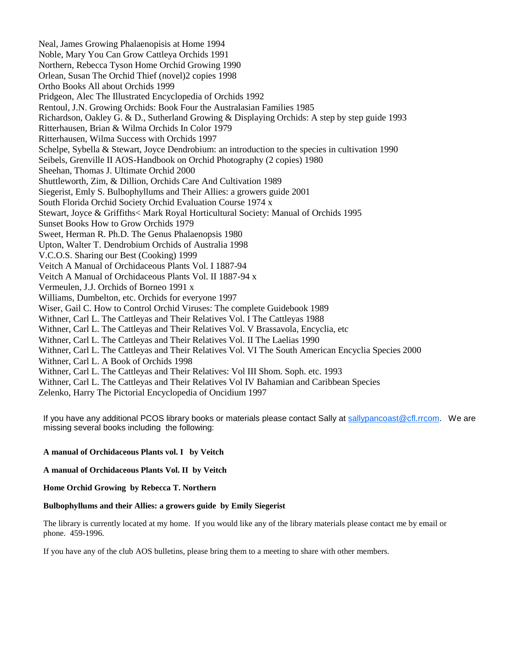Neal, James Growing Phalaenopisis at Home 1994 Noble, Mary You Can Grow Cattleya Orchids 1991 Northern, Rebecca Tyson Home Orchid Growing 1990 Orlean, Susan The Orchid Thief (novel)2 copies 1998 Ortho Books All about Orchids 1999 Pridgeon, Alec The Illustrated Encyclopedia of Orchids 1992 Rentoul, J.N. Growing Orchids: Book Four the Australasian Families 1985 Richardson, Oakley G. & D., Sutherland Growing & Displaying Orchids: A step by step guide 1993 Ritterhausen, Brian & Wilma Orchids In Color 1979 Ritterhausen, Wilma Success with Orchids 1997 Schelpe, Sybella & Stewart, Joyce Dendrobium: an introduction to the species in cultivation 1990 Seibels, Grenville II AOS-Handbook on Orchid Photography (2 copies) 1980 Sheehan, Thomas J. Ultimate Orchid 2000 Shuttleworth, Zim, & Dillion, Orchids Care And Cultivation 1989 Siegerist, Emly S. Bulbophyllums and Their Allies: a growers guide 2001 South Florida Orchid Society Orchid Evaluation Course 1974 x Stewart, Joyce & Griffiths< Mark Royal Horticultural Society: Manual of Orchids 1995 Sunset Books How to Grow Orchids 1979 Sweet, Herman R. Ph.D. The Genus Phalaenopsis 1980 Upton, Walter T. Dendrobium Orchids of Australia 1998 V.C.O.S. Sharing our Best (Cooking) 1999 Veitch A Manual of Orchidaceous Plants Vol. I 1887-94 Veitch A Manual of Orchidaceous Plants Vol. II 1887-94 x Vermeulen, J.J. Orchids of Borneo 1991 x Williams, Dumbelton, etc. Orchids for everyone 1997 Wiser, Gail C. How to Control Orchid Viruses: The complete Guidebook 1989 Withner, Carl L. The Cattleyas and Their Relatives Vol. I The Cattleyas 1988 Withner, Carl L. The Cattleyas and Their Relatives Vol. V Brassavola, Encyclia, etc Withner, Carl L. The Cattleyas and Their Relatives Vol. II The Laelias 1990 Withner, Carl L. The Cattleyas and Their Relatives Vol. VI The South American Encyclia Species 2000 Withner, Carl L. A Book of Orchids 1998 Withner, Carl L. The Cattleyas and Their Relatives: Vol III Shom. Soph. etc. 1993 Withner, Carl L. The Cattleyas and Their Relatives Vol IV Bahamian and Caribbean Species Zelenko, Harry The Pictorial Encyclopedia of Oncidium 1997

If you have any additional PCOS library books or materials please contact Sally at sallypancoast@cfl.rrcom. We are missing several books including the following:

### **A manual of Orchidaceous Plants vol. I by Veitch**

**A manual of Orchidaceous Plants Vol. II by Veitch**

**Home Orchid Growing by Rebecca T. Northern**

#### **Bulbophyllums and their Allies: a growers guide by Emily Siegerist**

The library is currently located at my home. If you would like any of the library materials please contact me by email or phone. 459-1996.

If you have any of the club AOS bulletins, please bring them to a meeting to share with other members.